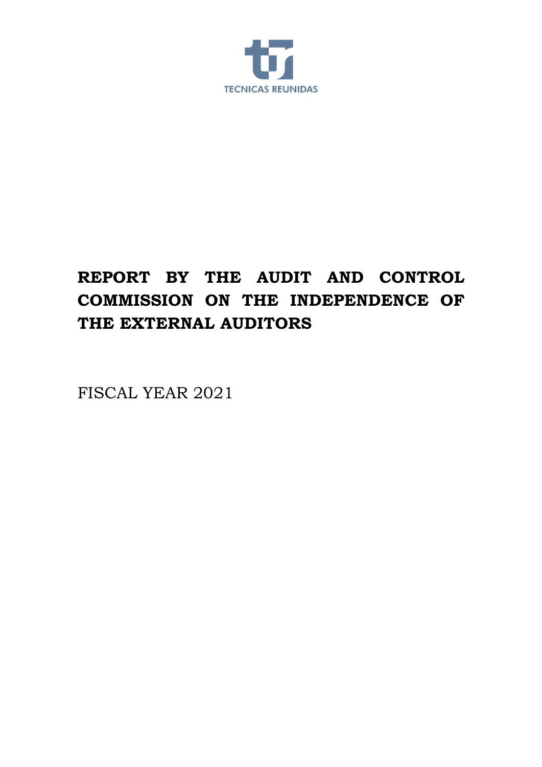

# **REPORT BY THE AUDIT AND CONTROL COMMISSION ON THE INDEPENDENCE OF THE EXTERNAL AUDITORS**

FISCAL YEAR 2021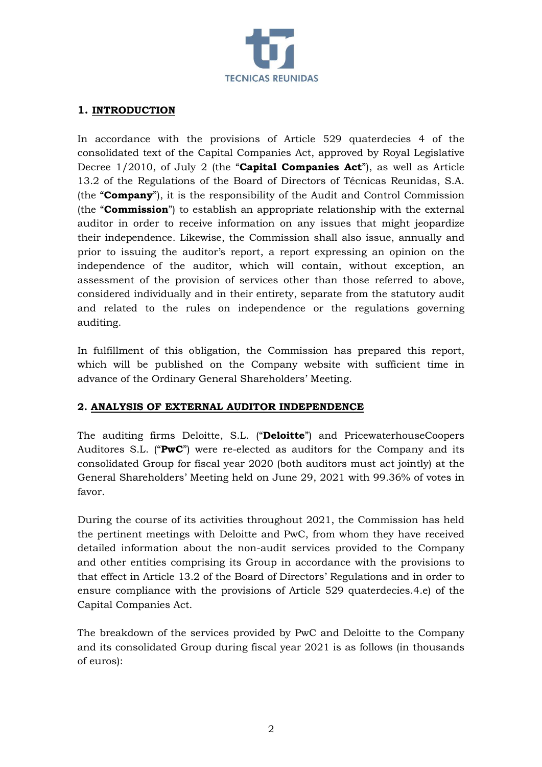

### **1. INTRODUCTION**

In accordance with the provisions of Article 529 quaterdecies 4 of the consolidated text of the Capital Companies Act, approved by Royal Legislative Decree 1/2010, of July 2 (the "**Capital Companies Act**"), as well as Article 13.2 of the Regulations of the Board of Directors of Técnicas Reunidas, S.A. (the "**Company**"), it is the responsibility of the Audit and Control Commission (the "**Commission**") to establish an appropriate relationship with the external auditor in order to receive information on any issues that might jeopardize their independence. Likewise, the Commission shall also issue, annually and prior to issuing the auditor's report, a report expressing an opinion on the independence of the auditor, which will contain, without exception, an assessment of the provision of services other than those referred to above, considered individually and in their entirety, separate from the statutory audit and related to the rules on independence or the regulations governing auditing.

In fulfillment of this obligation, the Commission has prepared this report, which will be published on the Company website with sufficient time in advance of the Ordinary General Shareholders' Meeting.

#### **2. ANALYSIS OF EXTERNAL AUDITOR INDEPENDENCE**

The auditing firms Deloitte, S.L. ("**Deloitte**") and PricewaterhouseCoopers Auditores S.L. ("**PwC**") were re-elected as auditors for the Company and its consolidated Group for fiscal year 2020 (both auditors must act jointly) at the General Shareholders' Meeting held on June 29, 2021 with 99.36% of votes in favor.

During the course of its activities throughout 2021, the Commission has held the pertinent meetings with Deloitte and PwC, from whom they have received detailed information about the non-audit services provided to the Company and other entities comprising its Group in accordance with the provisions to that effect in Article 13.2 of the Board of Directors' Regulations and in order to ensure compliance with the provisions of Article 529 quaterdecies.4.e) of the Capital Companies Act.

The breakdown of the services provided by PwC and Deloitte to the Company and its consolidated Group during fiscal year 2021 is as follows (in thousands of euros):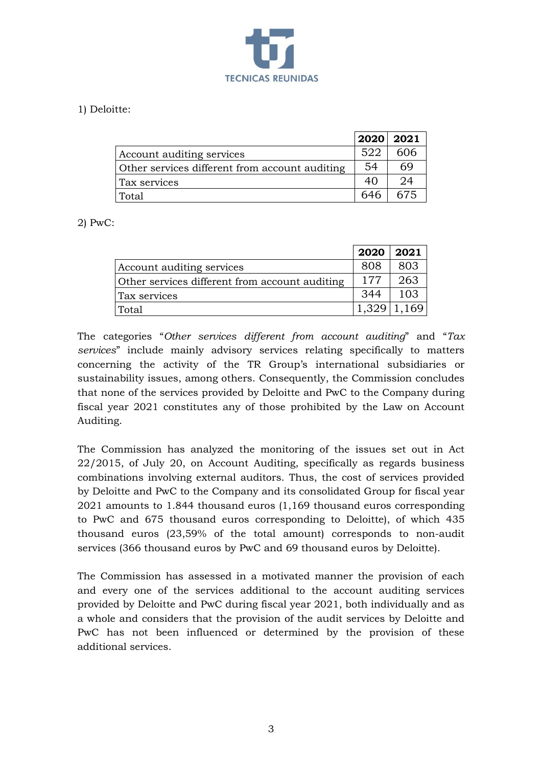

## 1) Deloitte:

|                                                | 2020 2021 |     |
|------------------------------------------------|-----------|-----|
| Account auditing services                      | 522       | 606 |
| Other services different from account auditing | 54        | 69  |
| Tax services                                   | 40        | 24  |
| Total                                          | 646       | 675 |

2) PwC:

|                                                | 2020  | 2021 |
|------------------------------------------------|-------|------|
| Account auditing services                      | 808   | 803  |
| Other services different from account auditing | 177   | 263  |
| Tax services                                   | 344   | 103  |
| Total                                          | 1.329 |      |

The categories "*Other services different from account auditing*" and "*Tax services*" include mainly advisory services relating specifically to matters concerning the activity of the TR Group's international subsidiaries or sustainability issues, among others. Consequently, the Commission concludes that none of the services provided by Deloitte and PwC to the Company during fiscal year 2021 constitutes any of those prohibited by the Law on Account Auditing.

The Commission has analyzed the monitoring of the issues set out in Act 22/2015, of July 20, on Account Auditing, specifically as regards business combinations involving external auditors. Thus, the cost of services provided by Deloitte and PwC to the Company and its consolidated Group for fiscal year 2021 amounts to 1.844 thousand euros (1,169 thousand euros corresponding to PwC and 675 thousand euros corresponding to Deloitte), of which 435 thousand euros (23,59% of the total amount) corresponds to non-audit services (366 thousand euros by PwC and 69 thousand euros by Deloitte).

The Commission has assessed in a motivated manner the provision of each and every one of the services additional to the account auditing services provided by Deloitte and PwC during fiscal year 2021, both individually and as a whole and considers that the provision of the audit services by Deloitte and PwC has not been influenced or determined by the provision of these additional services.